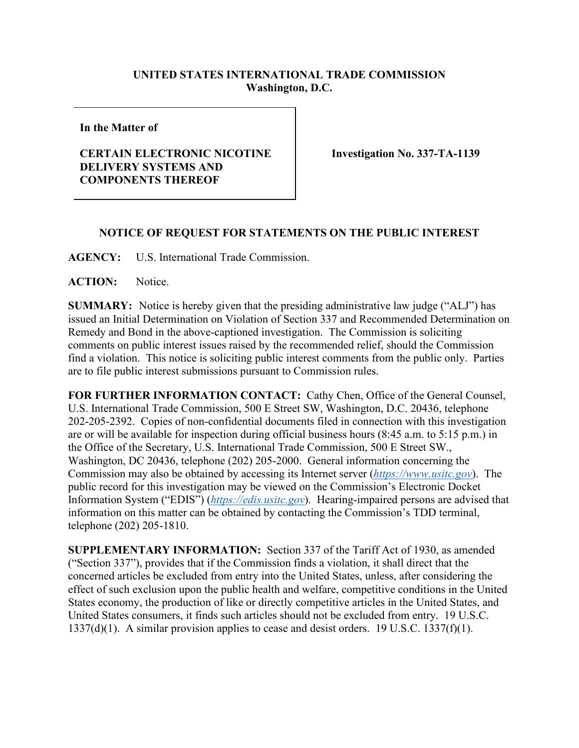## **UNITED STATES INTERNATIONAL TRADE COMMISSION Washington, D.C.**

**In the Matter of**

## **CERTAIN ELECTRONIC NICOTINE DELIVERY SYSTEMS AND COMPONENTS THEREOF**

**Investigation No. 337-TA-1139**

## **NOTICE OF REQUEST FOR STATEMENTS ON THE PUBLIC INTEREST**

**AGENCY:** U.S. International Trade Commission.

ACTION: Notice.

**SUMMARY:** Notice is hereby given that the presiding administrative law judge ("ALJ") has issued an Initial Determination on Violation of Section 337 and Recommended Determination on Remedy and Bond in the above-captioned investigation. The Commission is soliciting comments on public interest issues raised by the recommended relief, should the Commission find a violation. This notice is soliciting public interest comments from the public only. Parties are to file public interest submissions pursuant to Commission rules.

**FOR FURTHER INFORMATION CONTACT:** Cathy Chen, Office of the General Counsel, U.S. International Trade Commission, 500 E Street SW, Washington, D.C. 20436, telephone 202-205-2392. Copies of non-confidential documents filed in connection with this investigation are or will be available for inspection during official business hours (8:45 a.m. to 5:15 p.m.) in the Office of the Secretary, U.S. International Trade Commission, 500 E Street SW., Washington, DC 20436, telephone (202) 205-2000. General information concerning the Commission may also be obtained by accessing its Internet server (*[https://www.usitc.gov](https://www.usitc.gov/)*). The public record for this investigation may be viewed on the Commission's Electronic Docket Information System ("EDIS") (*[https://edis.usitc.gov](https://edis.usitc.gov/)*). Hearing-impaired persons are advised that information on this matter can be obtained by contacting the Commission's TDD terminal, telephone (202) 205-1810.

**SUPPLEMENTARY INFORMATION:** Section 337 of the Tariff Act of 1930, as amended ("Section 337"), provides that if the Commission finds a violation, it shall direct that the concerned articles be excluded from entry into the United States, unless, after considering the effect of such exclusion upon the public health and welfare, competitive conditions in the United States economy, the production of like or directly competitive articles in the United States, and United States consumers, it finds such articles should not be excluded from entry. 19 U.S.C. 1337(d)(1). A similar provision applies to cease and desist orders. 19 U.S.C. 1337(f)(1).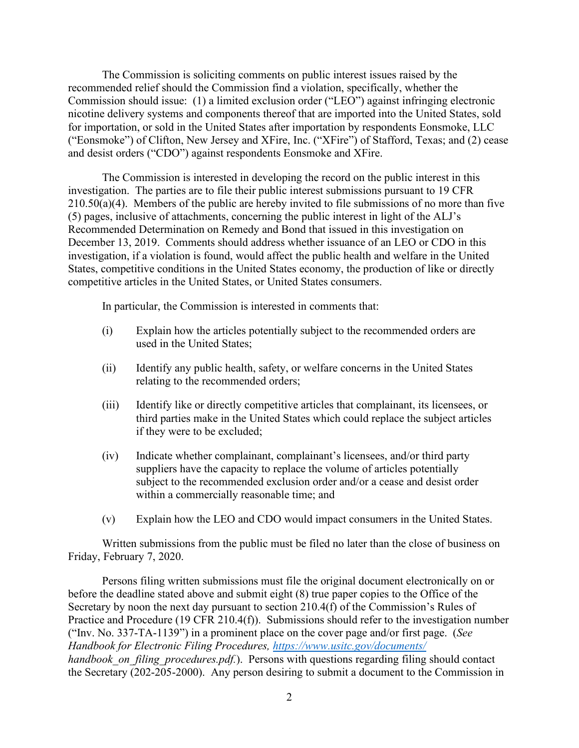The Commission is soliciting comments on public interest issues raised by the recommended relief should the Commission find a violation, specifically, whether the Commission should issue: (1) a limited exclusion order ("LEO") against infringing electronic nicotine delivery systems and components thereof that are imported into the United States, sold for importation, or sold in the United States after importation by respondents Eonsmoke, LLC ("Eonsmoke") of Clifton, New Jersey and XFire, Inc. ("XFire") of Stafford, Texas; and (2) cease and desist orders ("CDO") against respondents Eonsmoke and XFire.

The Commission is interested in developing the record on the public interest in this investigation. The parties are to file their public interest submissions pursuant to 19 CFR  $210.50(a)(4)$ . Members of the public are hereby invited to file submissions of no more than five (5) pages, inclusive of attachments, concerning the public interest in light of the ALJ's Recommended Determination on Remedy and Bond that issued in this investigation on December 13, 2019. Comments should address whether issuance of an LEO or CDO in this investigation, if a violation is found, would affect the public health and welfare in the United States, competitive conditions in the United States economy, the production of like or directly competitive articles in the United States, or United States consumers.

In particular, the Commission is interested in comments that:

- (i) Explain how the articles potentially subject to the recommended orders are used in the United States;
- (ii) Identify any public health, safety, or welfare concerns in the United States relating to the recommended orders;
- (iii) Identify like or directly competitive articles that complainant, its licensees, or third parties make in the United States which could replace the subject articles if they were to be excluded;
- (iv) Indicate whether complainant, complainant's licensees, and/or third party suppliers have the capacity to replace the volume of articles potentially subject to the recommended exclusion order and/or a cease and desist order within a commercially reasonable time; and
- (v) Explain how the LEO and CDO would impact consumers in the United States.

Written submissions from the public must be filed no later than the close of business on Friday, February 7, 2020.

Persons filing written submissions must file the original document electronically on or before the deadline stated above and submit eight (8) true paper copies to the Office of the Secretary by noon the next day pursuant to section 210.4(f) of the Commission's Rules of Practice and Procedure (19 CFR 210.4(f)). Submissions should refer to the investigation number ("Inv. No. 337-TA-1139") in a prominent place on the cover page and/or first page. (*See Handbook for Electronic Filing Procedures,<https://www.usitc.gov/documents/> handbook on filing procedures.pdf.*). Persons with questions regarding filing should contact the Secretary (202-205-2000). Any person desiring to submit a document to the Commission in